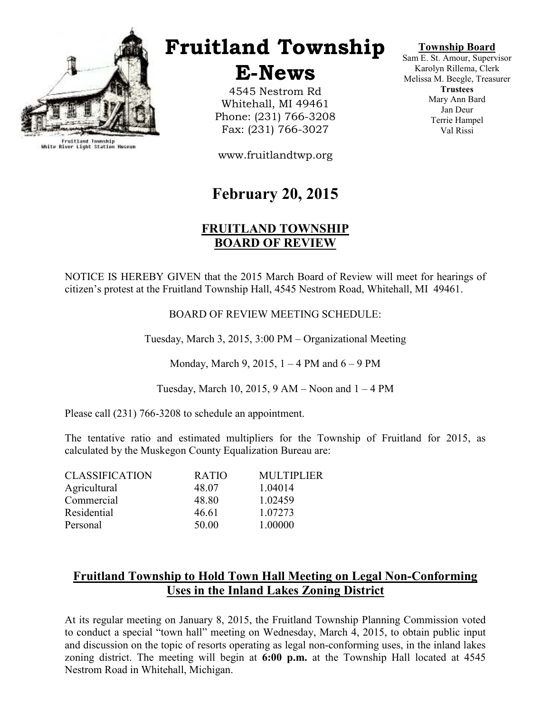

Fruitland Township<br>White River Light Station Museum

## Fruitland Township

E-News

4545 Nestrom Rd Whitehall, MI 49461 Phone: (231) 766-3208 Fax: (231) 766-3027

www.fruitlandtwp.org

## February 20, 2015

## FRUITLAND TOWNSHIP BOARD OF REVIEW

NOTICE IS HEREBY GIVEN that the 2015 March Board of Review will meet for hearings of citizen's protest at the Fruitland Township Hall, 4545 Nestrom Road, Whitehall, MI 49461.

BOARD OF REVIEW MEETING SCHEDULE:

Tuesday, March 3, 2015, 3:00 PM – Organizational Meeting

Monday, March 9, 2015,  $1 - 4$  PM and  $6 - 9$  PM

Tuesday, March 10, 2015,  $9 AM - N$ oon and  $1 - 4 PM$ 

Please call (231) 766-3208 to schedule an appointment.

The tentative ratio and estimated multipliers for the Township of Fruitland for 2015, as calculated by the Muskegon County Equalization Bureau are:

| <b>CLASSIFICATION</b> | <b>RATIO</b> | <b>MULTIPLIER</b> |
|-----------------------|--------------|-------------------|
| Agricultural          | 48.07        | 1.04014           |
| Commercial            | 48.80        | 1.02459           |
| Residential           | 46.61        | 1.07273           |
| Personal              | 50.00        | 1.00000           |

## Fruitland Township to Hold Town Hall Meeting on Legal Non-Conforming Uses in the Inland Lakes Zoning District

At its regular meeting on January 8, 2015, the Fruitland Township Planning Commission voted to conduct a special "town hall" meeting on Wednesday, March 4, 2015, to obtain public input and discussion on the topic of resorts operating as legal non-conforming uses, in the inland lakes zoning district. The meeting will begin at 6:00 p.m. at the Township Hall located at 4545 Nestrom Road in Whitehall, Michigan.

## Township Board

Sam E. St. Amour, Supervisor Karolyn Rillema, Clerk Melissa M. Beegle, Treasurer **Trustees** Mary Ann Bard Jan Deur Terrie Hampel Val Rissi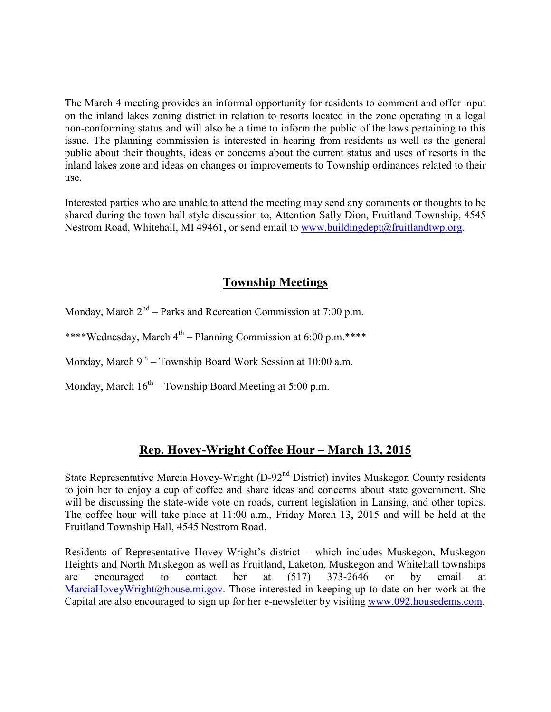The March 4 meeting provides an informal opportunity for residents to comment and offer input on the inland lakes zoning district in relation to resorts located in the zone operating in a legal non-conforming status and will also be a time to inform the public of the laws pertaining to this issue. The planning commission is interested in hearing from residents as well as the general public about their thoughts, ideas or concerns about the current status and uses of resorts in the inland lakes zone and ideas on changes or improvements to Township ordinances related to their use.

Interested parties who are unable to attend the meeting may send any comments or thoughts to be shared during the town hall style discussion to, Attention Sally Dion, Fruitland Township, 4545 Nestrom Road, Whitehall, MI 49461, or send email to www.buildingdept@fruitlandtwp.org.

## Township Meetings

Monday, March  $2<sup>nd</sup>$  – Parks and Recreation Commission at 7:00 p.m.

\*\*\*\*Wednesday, March  $4^{th}$  – Planning Commission at 6:00 p.m.\*\*\*\*

Monday, March  $9<sup>th</sup>$  – Township Board Work Session at 10:00 a.m.

Monday, March  $16<sup>th</sup>$  – Township Board Meeting at 5:00 p.m.

## Rep. Hovey-Wright Coffee Hour – March 13, 2015

State Representative Marcia Hovey-Wright (D-92<sup>nd</sup> District) invites Muskegon County residents to join her to enjoy a cup of coffee and share ideas and concerns about state government. She will be discussing the state-wide vote on roads, current legislation in Lansing, and other topics. The coffee hour will take place at 11:00 a.m., Friday March 13, 2015 and will be held at the Fruitland Township Hall, 4545 Nestrom Road.

Residents of Representative Hovey-Wright's district – which includes Muskegon, Muskegon Heights and North Muskegon as well as Fruitland, Laketon, Muskegon and Whitehall townships are encouraged to contact her at (517) 373-2646 or by email at MarciaHoveyWright@house.mi.gov. Those interested in keeping up to date on her work at the Capital are also encouraged to sign up for her e-newsletter by visiting www.092.housedems.com.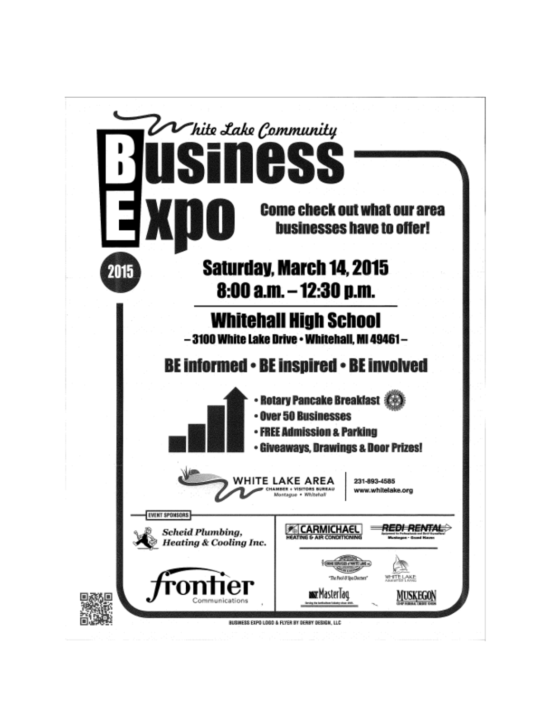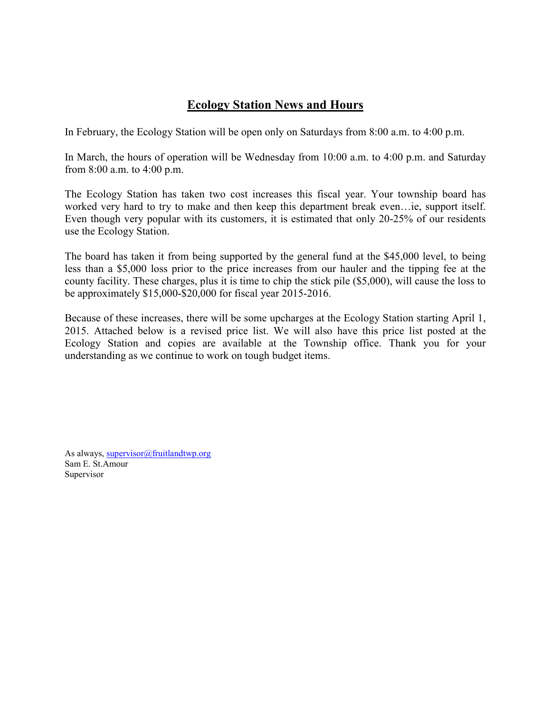## Ecology Station News and Hours

In February, the Ecology Station will be open only on Saturdays from 8:00 a.m. to 4:00 p.m.

In March, the hours of operation will be Wednesday from 10:00 a.m. to 4:00 p.m. and Saturday from 8:00 a.m. to 4:00 p.m.

The Ecology Station has taken two cost increases this fiscal year. Your township board has worked very hard to try to make and then keep this department break even…ie, support itself. Even though very popular with its customers, it is estimated that only 20-25% of our residents use the Ecology Station.

The board has taken it from being supported by the general fund at the \$45,000 level, to being less than a \$5,000 loss prior to the price increases from our hauler and the tipping fee at the county facility. These charges, plus it is time to chip the stick pile (\$5,000), will cause the loss to be approximately \$15,000-\$20,000 for fiscal year 2015-2016.

Because of these increases, there will be some upcharges at the Ecology Station starting April 1, 2015. Attached below is a revised price list. We will also have this price list posted at the Ecology Station and copies are available at the Township office. Thank you for your understanding as we continue to work on tough budget items.

As always, supervisor@fruitlandtwp.org Sam E. St.Amour Supervisor